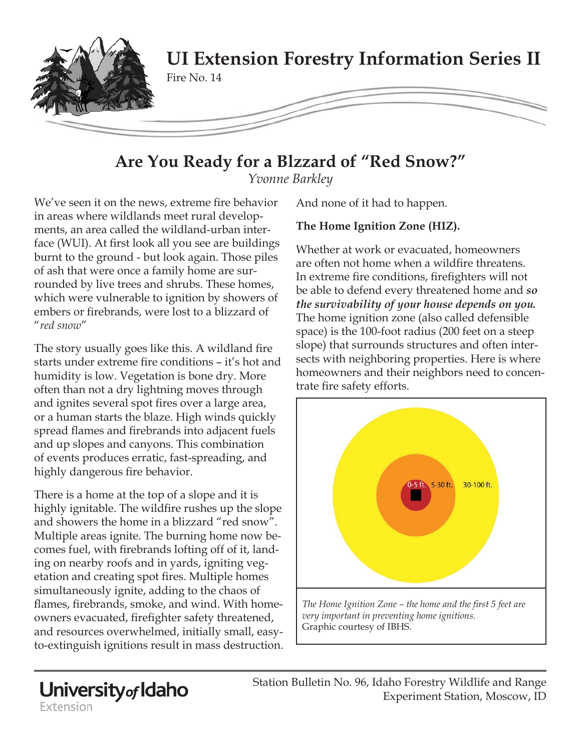

# **Are You Ready for a Blzzard of "Red Snow?"**

*Yvonne Barkley*

We've seen it on the news, extreme fire behavior in areas where wildlands meet rural developments, an area called the wildland-urban interface (WUI). At first look all you see are buildings burnt to the ground - but look again. Those piles of ash that were once a family home are surrounded by live trees and shrubs. These homes, which were vulnerable to ignition by showers of embers or firebrands, were lost to a blizzard of "*red snow*"

The story usually goes like this. A wildland fire starts under extreme fire conditions – it's hot and humidity is low. Vegetation is bone dry. More often than not a dry lightning moves through and ignites several spot fires over a large area, or a human starts the blaze. High winds quickly spread flames and firebrands into adjacent fuels and up slopes and canyons. This combination of events produces erratic, fast-spreading, and highly dangerous fire behavior.

There is a home at the top of a slope and it is highly ignitable. The wildfire rushes up the slope and showers the home in a blizzard "red snow". Multiple areas ignite. The burning home now becomes fuel, with firebrands lofting off of it, landing on nearby roofs and in yards, igniting vegetation and creating spot fires. Multiple homes simultaneously ignite, adding to the chaos of flames, firebrands, smoke, and wind. With homeowners evacuated, firefighter safety threatened, and resources overwhelmed, initially small, easyto-extinguish ignitions result in mass destruction. And none of it had to happen.

# **The Home Ignition Zone (HIZ).**

Whether at work or evacuated, homeowners are often not home when a wildfire threatens. In extreme fire conditions, firefighters will not be able to defend every threatened home and *so the survivability of your house depends on you.*  The home ignition zone (also called defensible space) is the 100-foot radius (200 feet on a steep slope) that surrounds structures and often intersects with neighboring properties. Here is where homeowners and their neighbors need to concentrate fire safety efforts.



Station Bulletin No. 96, Idaho Forestry Wildlife and Range Experiment Station, Moscow, ID

University<sub>of</sub> Idaho Extension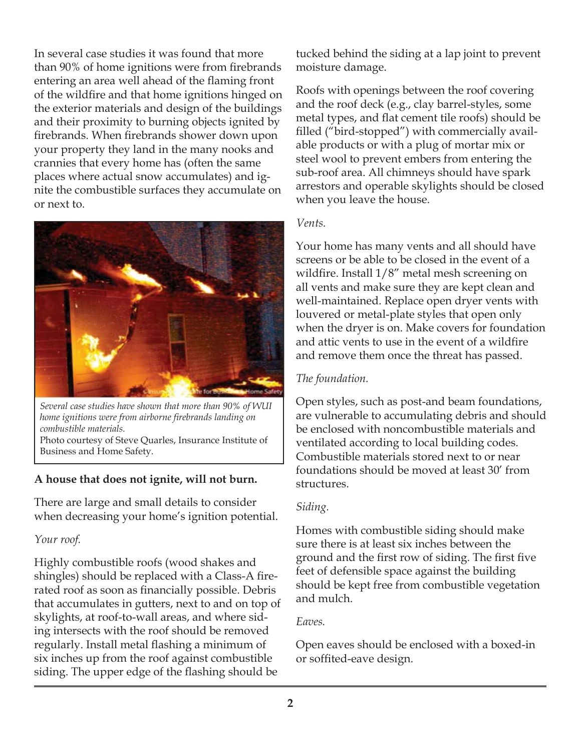In several case studies it was found that more than 90% of home ignitions were from firebrands entering an area well ahead of the flaming front of the wildfire and that home ignitions hinged on the exterior materials and design of the buildings and their proximity to burning objects ignited by firebrands. When firebrands shower down upon your property they land in the many nooks and crannies that every home has (often the same places where actual snow accumulates) and ignite the combustible surfaces they accumulate on or next to.



*Several case studies have shown that more than 90% of WUI home ignitions were from airborne fi rebrands landing on combustible materials.* Photo courtesy of Steve Quarles, Insurance Institute of Business and Home Safety.

## **A house that does not ignite, will not burn.**

There are large and small details to consider when decreasing your home's ignition potential.

#### *Your roof.*

Highly combustible roofs (wood shakes and shingles) should be replaced with a Class-A firerated roof as soon as financially possible. Debris that accumulates in gutters, next to and on top of skylights, at roof-to-wall areas, and where siding intersects with the roof should be removed regularly. Install metal flashing a minimum of six inches up from the roof against combustible siding. The upper edge of the flashing should be

tucked behind the siding at a lap joint to prevent moisture damage.

Roofs with openings between the roof covering and the roof deck (e.g., clay barrel-styles, some metal types, and flat cement tile roofs) should be filled ("bird-stopped") with commercially available products or with a plug of mortar mix or steel wool to prevent embers from entering the sub-roof area. All chimneys should have spark arrestors and operable skylights should be closed when you leave the house.

#### *Vents.*

Your home has many vents and all should have screens or be able to be closed in the event of a wildfire. Install  $1/8$ " metal mesh screening on all vents and make sure they are kept clean and well-maintained. Replace open dryer vents with louvered or metal-plate styles that open only when the dryer is on. Make covers for foundation and attic vents to use in the event of a wildfire and remove them once the threat has passed.

## *The foundation.*

Open styles, such as post-and beam foundations, are vulnerable to accumulating debris and should be enclosed with noncombustible materials and ventilated according to local building codes. Combustible materials stored next to or near foundations should be moved at least 30' from structures.

## *Siding.*

Homes with combustible siding should make sure there is at least six inches between the ground and the first row of siding. The first five feet of defensible space against the building should be kept free from combustible vegetation and mulch.

## *Eaves.*

Open eaves should be enclosed with a boxed-in or soffited-eave design.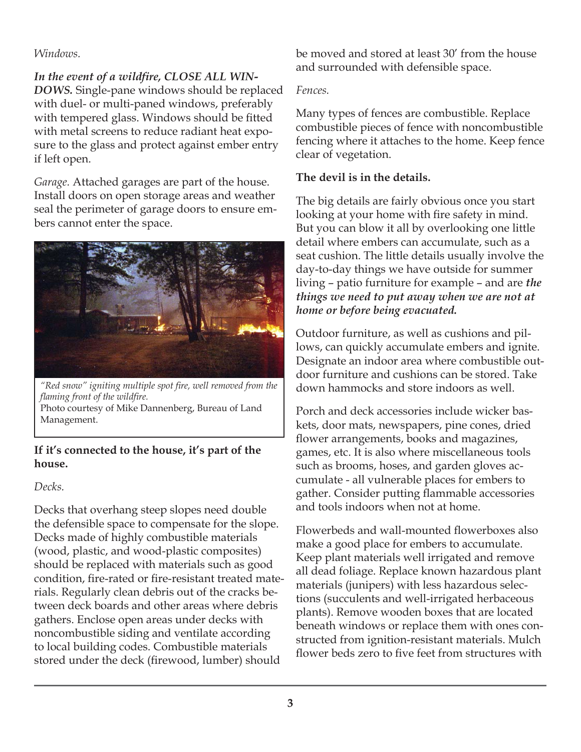## *Windows.*

In the event of a wildfire, CLOSE ALL WIN-*DOWS.* Single-pane windows should be replaced with duel- or multi-paned windows, preferably with tempered glass. Windows should be fitted with metal screens to reduce radiant heat exposure to the glass and protect against ember entry if left open.

*Garage.* Attached garages are part of the house. Install doors on open storage areas and weather seal the perimeter of garage doors to ensure embers cannot enter the space.



"Red snow" igniting multiple spot fire, well removed from the *flaming front of the wildfire.* Photo courtesy of Mike Dannenberg, Bureau of Land Management.

## **If it's connected to the house, it's part of the house.**

#### *Decks.*

Decks that overhang steep slopes need double the defensible space to compensate for the slope. Decks made of highly combustible materials (wood, plastic, and wood-plastic composites) should be replaced with materials such as good condition, fire-rated or fire-resistant treated materials. Regularly clean debris out of the cracks between deck boards and other areas where debris gathers. Enclose open areas under decks with noncombustible siding and ventilate according to local building codes. Combustible materials stored under the deck (firewood, lumber) should

be moved and stored at least 30' from the house and surrounded with defensible space.

# *Fences.*

Many types of fences are combustible. Replace combustible pieces of fence with noncombustible fencing where it attaches to the home. Keep fence clear of vegetation.

# **The devil is in the details.**

The big details are fairly obvious once you start looking at your home with fire safety in mind. But you can blow it all by overlooking one little detail where embers can accumulate, such as a seat cushion. The little details usually involve the day-to-day things we have outside for summer living – patio furniture for example – and are *the things we need to put away when we are not at home or before being evacuated.* 

Outdoor furniture, as well as cushions and pillows, can quickly accumulate embers and ignite. Designate an indoor area where combustible outdoor furniture and cushions can be stored. Take down hammocks and store indoors as well.

Porch and deck accessories include wicker baskets, door mats, newspapers, pine cones, dried flower arrangements, books and magazines, games, etc. It is also where miscellaneous tools such as brooms, hoses, and garden gloves accumulate - all vulnerable places for embers to gather. Consider putting flammable accessories and tools indoors when not at home.

Flowerbeds and wall-mounted flowerboxes also make a good place for embers to accumulate. Keep plant materials well irrigated and remove all dead foliage. Replace known hazardous plant materials (junipers) with less hazardous selections (succulents and well-irrigated herbaceous plants). Remove wooden boxes that are located beneath windows or replace them with ones constructed from ignition-resistant materials. Mulch flower beds zero to five feet from structures with